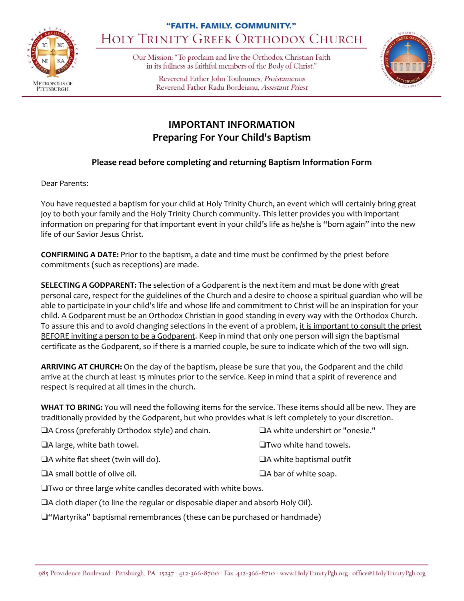

## "FAITH. FAMILY. COMMUNITY." HOLY TRINITY GREEK ORTHODOX CHURCH

Our Mission: "To proclaim and live the Orthodox Christian Faith in its fullness as faithful members of the Body of Christ."

> Reverend Father John Touloumes, Proistamenos Reverend Father Radu Bordeianu, Assistant Priest



## **IMPORTANT INFORMATION Preparing For Your Child's Baptism**

## **Please read before completing and returning Baptism Information Form**

Dear Parents:

You have requested a baptism for your child at Holy Trinity Church, an event which will certainly bring great joy to both your family and the Holy Trinity Church community. This letter provides you with important information on preparing for that important event in your child's life as he/she is "born again" into the new life of our Savior Jesus Christ.

**CONFIRMING A DATE:** Prior to the baptism, a date and time must be confirmed by the priest before commitments (such as receptions) are made.

**SELECTING A GODPARENT:** The selection of a Godparent is the next item and must be done with great personal care, respect for the guidelines of the Church and a desire to choose a spiritual guardian who will be able to participate in your child's life and whose life and commitment to Christ will be an inspiration for your child. A Godparent must be an Orthodox Christian in good standing in every way with the Orthodox Church. To assure this and to avoid changing selections in the event of a problem, it is important to consult the priest BEFORE inviting a person to be a Godparent. Keep in mind that only one person will sign the baptismal certificate as the Godparent, so if there is a married couple, be sure to indicate which of the two will sign.

**ARRIVING AT CHURCH:** On the day of the baptism, please be sure that you, the Godparent and the child arrive at the church at least 15 minutes prior to the service. Keep in mind that a spirit of reverence and respect is required at all times in the church.

**WHAT TO BRING:** You will need the following items for the service. These items should all be new. They are traditionally provided by the Godparent, but who provides what is left completely to your discretion.

| $\Box$ A Cross (preferably Orthodox style) and chain. | $\Box$ A white undershirt or "onesie." |
|-------------------------------------------------------|----------------------------------------|
| $\Box$ A large, white bath towel.                     | $\Box$ Two white hand towels.          |
| $\Box$ A white flat sheet (twin will do).             | $\Box$ A white baptismal outfit        |
| $\Box$ A small bottle of olive oil.                   | $\Box$ A bar of white soap.            |

❑Two or three large white candles decorated with white bows.

❑A cloth diaper (to line the regular or disposable diaper and absorb Holy Oil).

❑"Martyrika" baptismal remembrances (these can be purchased or handmade)